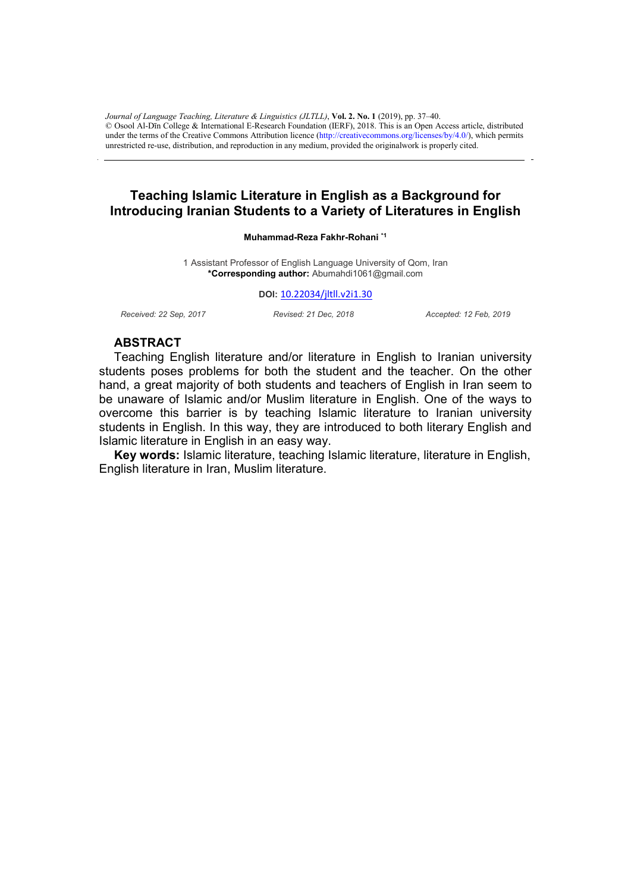under the terms of the Creative Commons Attribution licence (http://creativecommons.org/licenses/by/4.0/), which permits unrestricted re-use, distribution, and reproduction in any medium, provided the originalwork is properly cited. *Journal of Language Teaching, Literature & Linguistics (JLTLL)*, **Vol. 2. No. 1** (2019), pp. 37–40. © Osool Al-Dīn College & International E-Research Foundation (IERF), 2018. This is an Open Access article, distributed

# **Teaching Islamic Literature in English as a Background for Introducing Iranian Students to a Variety of Literatures in English**

#### **Muhammad-Reza Fakhr-Rohani \*1**

1 Assistant Professor of English Language University of Qom, Iran **\*Corresponding author:** Abumahdi1061@gmail.com

#### **DOI:** 10.22034/jltll.v2i1.30

*Received: 22 Sep, 2017 Revised: 21 Dec, 2018 Accepted: 12 Feb, 2019*

## **ABSTRACT**

Teaching English literature and/or literature in English to Iranian university students poses problems for both the student and the teacher. On the other hand, a great majority of both students and teachers of English in Iran seem to be unaware of Islamic and/or Muslim literature in English. One of the ways to overcome this barrier is by teaching Islamic literature to Iranian university students in English. In this way, they are introduced to both literary English and Islamic literature in English in an easy way.

**Key words:** Islamic literature, teaching Islamic literature, literature in English, English literature in Iran, Muslim literature.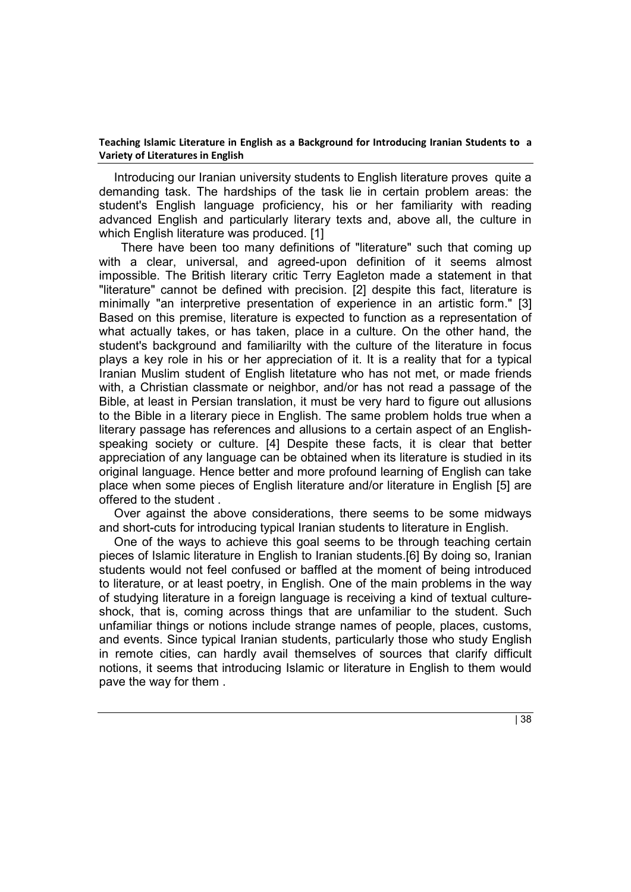## **Teaching Islamic Literature in English as a Background for Introducing Iranian Students to a Variety of Literatures in English**

Introducing our Iranian university students to English literature proves quite a demanding task. The hardships of the task lie in certain problem areas: the student's English language proficiency, his or her familiarity with reading advanced English and particularly literary texts and, above all, the culture in which English literature was produced. [1]

 There have been too many definitions of "literature" such that coming up with a clear, universal, and agreed-upon definition of it seems almost impossible. The British literary critic Terry Eagleton made a statement in that "literature" cannot be defined with precision. [2] despite this fact, literature is minimally "an interpretive presentation of experience in an artistic form." [3] Based on this premise, literature is expected to function as a representation of what actually takes, or has taken, place in a culture. On the other hand, the student's background and familiarilty with the culture of the literature in focus plays a key role in his or her appreciation of it. It is a reality that for a typical Iranian Muslim student of English litetature who has not met, or made friends with, a Christian classmate or neighbor, and/or has not read a passage of the Bible, at least in Persian translation, it must be very hard to figure out allusions to the Bible in a literary piece in English. The same problem holds true when a literary passage has references and allusions to a certain aspect of an Englishspeaking society or culture. [4] Despite these facts, it is clear that better appreciation of any language can be obtained when its literature is studied in its original language. Hence better and more profound learning of English can take place when some pieces of English literature and/or literature in English [5] are offered to the student .

Over against the above considerations, there seems to be some midways and short-cuts for introducing typical Iranian students to literature in English.

One of the ways to achieve this goal seems to be through teaching certain pieces of Islamic literature in English to Iranian students.[6] By doing so, Iranian students would not feel confused or baffled at the moment of being introduced to literature, or at least poetry, in English. One of the main problems in the way of studying literature in a foreign language is receiving a kind of textual cultureshock, that is, coming across things that are unfamiliar to the student. Such unfamiliar things or notions include strange names of people, places, customs, and events. Since typical Iranian students, particularly those who study English in remote cities, can hardly avail themselves of sources that clarify difficult notions, it seems that introducing Islamic or literature in English to them would pave the way for them .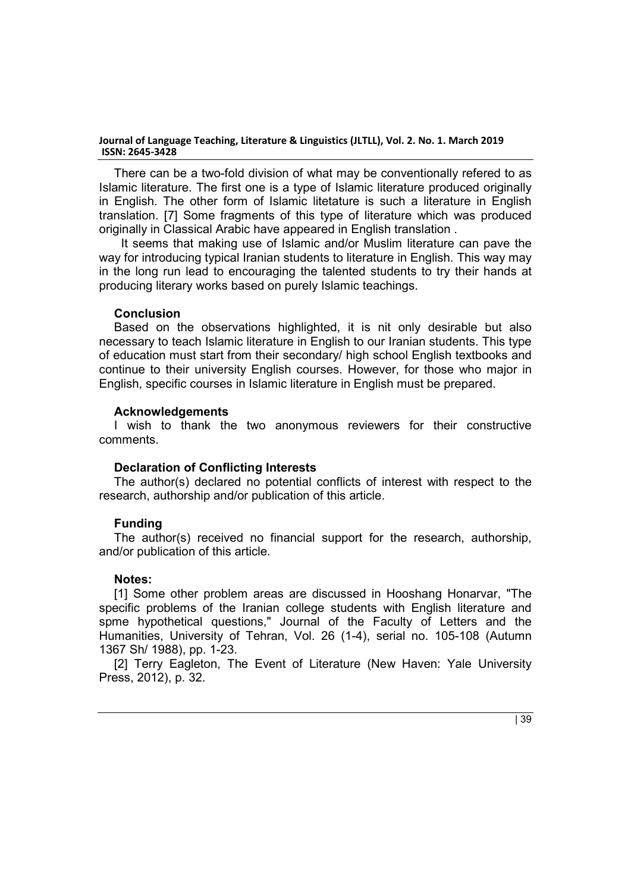### **Journal of Language Teaching, Literature & Linguistics (JLTLL), Vol. 2. No. 1. March 2019 ISSN: 2645-3428**

There can be a two-fold division of what may be conventionally refered to as Islamic literature. The first one is a type of Islamic literature produced originally in English. The other form of Islamic litetature is such a literature in English translation. [7] Some fragments of this type of literature which was produced originally in Classical Arabic have appeared in English translation .

 It seems that making use of Islamic and/or Muslim literature can pave the way for introducing typical Iranian students to literature in English. This way may in the long run lead to encouraging the talented students to try their hands at producing literary works based on purely Islamic teachings.

## **Conclusion**

Based on the observations highlighted, it is nit only desirable but also necessary to teach Islamic literature in English to our Iranian students. This type of education must start from their secondary/ high school English textbooks and continue to their university English courses. However, for those who major in English, specific courses in Islamic literature in English must be prepared.

## **Acknowledgements**

I wish to thank the two anonymous reviewers for their constructive comments.

# **Declaration of Conflicting Interests**

The author(s) declared no potential conflicts of interest with respect to the research, authorship and/or publication of this article.

# **Funding**

The author(s) received no financial support for the research, authorship, and/or publication of this article.

# **Notes:**

[1] Some other problem areas are discussed in Hooshang Honarvar, "The specific problems of the Iranian college students with English literature and spme hypothetical questions," Journal of the Faculty of Letters and the Humanities, University of Tehran, Vol. 26 (1-4), serial no. 105-108 (Autumn 1367 Sh/ 1988), pp. 1-23.

[2] Terry Eagleton, The Event of Literature (New Haven: Yale University Press, 2012), p. 32.